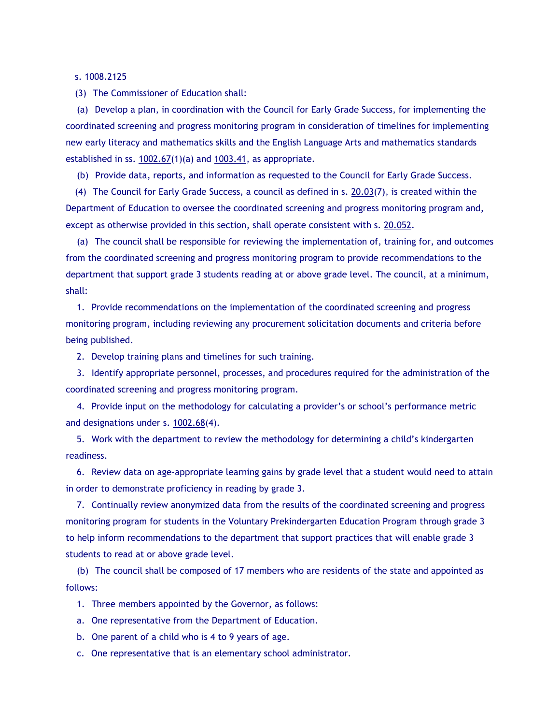s. 1008.2125

(3) The Commissioner of Education shall:

(a) Develop a plan, in coordination with the Council for Early Grade Success, for implementing the coordinated screening and progress monitoring program in consideration of timelines for implementing new early literacy and mathematics skills and the English Language Arts and mathematics standards established in ss. [1002.67\(](http://www.leg.state.fl.us/Statutes/index.cfm?App_mode=Display_Statute&Search_String=&URL=1000-1099/1002/Sections/1002.67.html)1)(a) and [1003.41,](http://www.leg.state.fl.us/Statutes/index.cfm?App_mode=Display_Statute&Search_String=&URL=1000-1099/1003/Sections/1003.41.html) as appropriate.

(b) Provide data, reports, and information as requested to the Council for Early Grade Success.

(4) The Council for Early Grade Success, a council as defined in s. [20.03\(](http://www.leg.state.fl.us/Statutes/index.cfm?App_mode=Display_Statute&Search_String=&URL=0000-0099/0020/Sections/0020.03.html)7), is created within the Department of Education to oversee the coordinated screening and progress monitoring program and, except as otherwise provided in this section, shall operate consistent with s. [20.052.](http://www.leg.state.fl.us/Statutes/index.cfm?App_mode=Display_Statute&Search_String=&URL=0000-0099/0020/Sections/0020.052.html)

(a) The council shall be responsible for reviewing the implementation of, training for, and outcomes from the coordinated screening and progress monitoring program to provide recommendations to the department that support grade 3 students reading at or above grade level. The council, at a minimum, shall:

1. Provide recommendations on the implementation of the coordinated screening and progress monitoring program, including reviewing any procurement solicitation documents and criteria before being published.

2. Develop training plans and timelines for such training.

3. Identify appropriate personnel, processes, and procedures required for the administration of the coordinated screening and progress monitoring program.

4. Provide input on the methodology for calculating a provider's or school's performance metric and designations under s. [1002.68\(](http://www.leg.state.fl.us/Statutes/index.cfm?App_mode=Display_Statute&Search_String=&URL=1000-1099/1002/Sections/1002.68.html)4).

5. Work with the department to review the methodology for determining a child's kindergarten readiness.

6. Review data on age-appropriate learning gains by grade level that a student would need to attain in order to demonstrate proficiency in reading by grade 3.

7. Continually review anonymized data from the results of the coordinated screening and progress monitoring program for students in the Voluntary Prekindergarten Education Program through grade 3 to help inform recommendations to the department that support practices that will enable grade 3 students to read at or above grade level.

(b) The council shall be composed of 17 members who are residents of the state and appointed as follows:

1. Three members appointed by the Governor, as follows:

a. One representative from the Department of Education.

b. One parent of a child who is 4 to 9 years of age.

c. One representative that is an elementary school administrator.